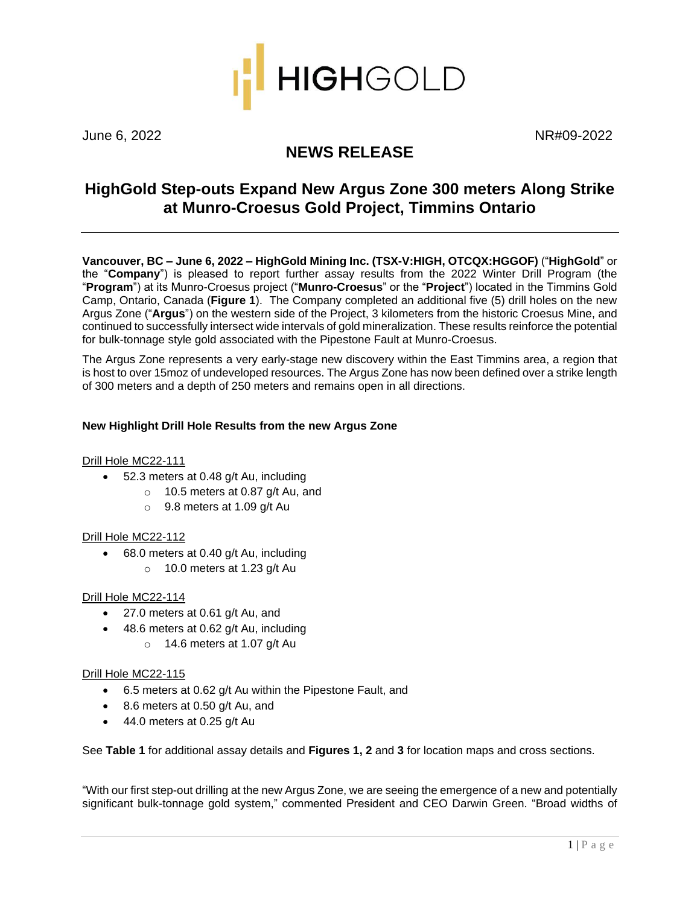

June 6, 2022 NR#09-2022

# **NEWS RELEASE**

## **HighGold Step-outs Expand New Argus Zone 300 meters Along Strike at Munro-Croesus Gold Project, Timmins Ontario**

**Vancouver, BC – June 6, 2022 – HighGold Mining Inc. (TSX-V:HIGH, OTCQX:HGGOF)** ("**HighGold**" or the "**Company**") is pleased to report further assay results from the 2022 Winter Drill Program (the "**Program**") at its Munro-Croesus project ("**Munro-Croesus**" or the "**Project**") located in the Timmins Gold Camp, Ontario, Canada (**Figure 1**). The Company completed an additional five (5) drill holes on the new Argus Zone ("**Argus**") on the western side of the Project, 3 kilometers from the historic Croesus Mine, and continued to successfully intersect wide intervals of gold mineralization. These results reinforce the potential for bulk-tonnage style gold associated with the Pipestone Fault at Munro-Croesus.

The Argus Zone represents a very early-stage new discovery within the East Timmins area, a region that is host to over 15moz of undeveloped resources. The Argus Zone has now been defined over a strike length of 300 meters and a depth of 250 meters and remains open in all directions.

### **New Highlight Drill Hole Results from the new Argus Zone**

#### Drill Hole MC22-111

- 52.3 meters at 0.48 g/t Au, including
	- o 10.5 meters at 0.87 g/t Au, and
	- o 9.8 meters at 1.09 g/t Au

## Drill Hole MC22-112

- 68.0 meters at 0.40 g/t Au, including
	- $\circ$  10.0 meters at 1.23 g/t Au

#### Drill Hole MC22-114

- 27.0 meters at 0.61 g/t Au, and
- 48.6 meters at 0.62 g/t Au, including
	- $\circ$  14.6 meters at 1.07 g/t Au

#### Drill Hole MC22-115

- 6.5 meters at 0.62 g/t Au within the Pipestone Fault, and
- 8.6 meters at 0.50 g/t Au, and
- 44.0 meters at 0.25 g/t Au

See **Table 1** for additional assay details and **Figures 1, 2** and **3** for location maps and cross sections.

"With our first step-out drilling at the new Argus Zone, we are seeing the emergence of a new and potentially significant bulk-tonnage gold system," commented President and CEO Darwin Green. "Broad widths of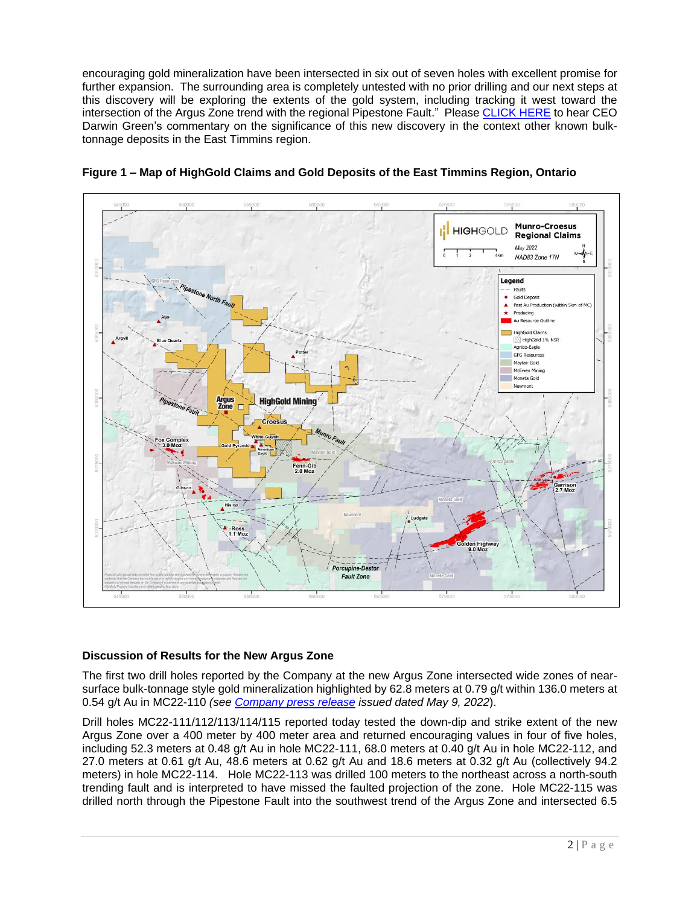encouraging gold mineralization have been intersected in six out of seven holes with excellent promise for further expansion. The surrounding area is completely untested with no prior drilling and our next steps at this discovery will be exploring the extents of the gold system, including tracking it west toward the intersection of the Argus Zone trend with the regional Pipestone Fault." Please [CLICK HERE](https://youtu.be/JQ30weT_C4Y) to hear CEO Darwin Green's commentary on the significance of this new discovery in the context other known bulktonnage deposits in the East Timmins region.





## **Discussion of Results for the New Argus Zone**

The first two drill holes reported by the Company at the new Argus Zone intersected wide zones of nearsurface bulk-tonnage style gold mineralization highlighted by 62.8 meters at 0.79 g/t within 136.0 meters at 0.54 g/t Au in MC22-110 *(see [Company press release](https://highgoldmining.com/news/2022/highgold-makes-new-discovery-at-munro-croesus-with-wide-intervals-of-gold-mineralization-including-136-meters-at-0.54-g-t-gold/) issued dated May 9, 2022*).

Drill holes MC22-111/112/113/114/115 reported today tested the down-dip and strike extent of the new Argus Zone over a 400 meter by 400 meter area and returned encouraging values in four of five holes, including 52.3 meters at 0.48 g/t Au in hole MC22-111, 68.0 meters at 0.40 g/t Au in hole MC22-112, and 27.0 meters at 0.61 g/t Au, 48.6 meters at 0.62 g/t Au and 18.6 meters at 0.32 g/t Au (collectively 94.2 meters) in hole MC22-114. Hole MC22-113 was drilled 100 meters to the northeast across a north-south trending fault and is interpreted to have missed the faulted projection of the zone. Hole MC22-115 was drilled north through the Pipestone Fault into the southwest trend of the Argus Zone and intersected 6.5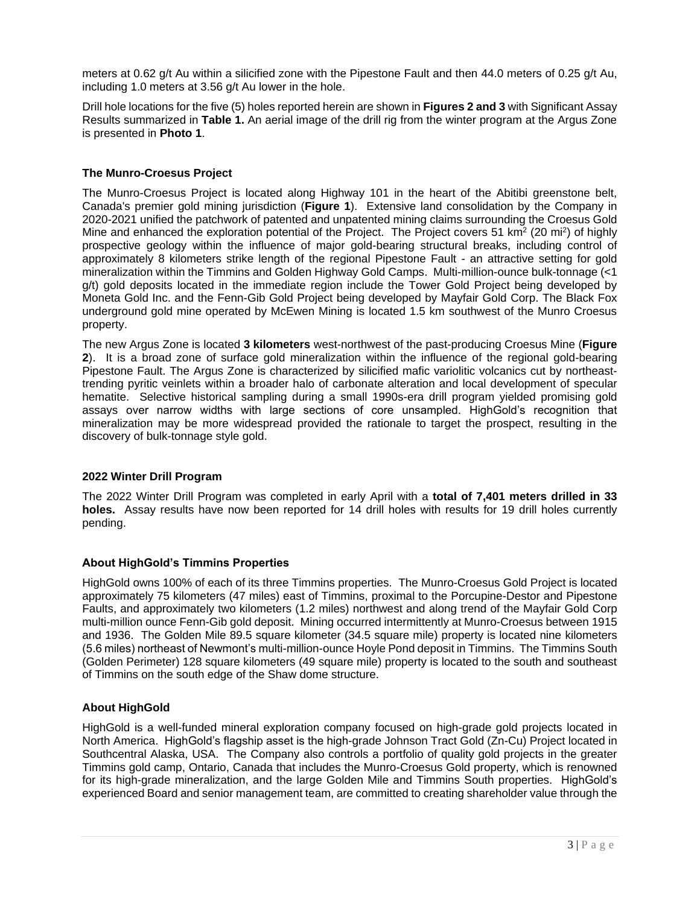meters at 0.62 g/t Au within a silicified zone with the Pipestone Fault and then 44.0 meters of 0.25 g/t Au, including 1.0 meters at 3.56 g/t Au lower in the hole.

Drill hole locations for the five (5) holes reported herein are shown in **Figures 2 and 3** with Significant Assay Results summarized in **Table 1.** An aerial image of the drill rig from the winter program at the Argus Zone is presented in **Photo 1**.

## **The Munro-Croesus Project**

The Munro-Croesus Project is located along Highway 101 in the heart of the Abitibi greenstone belt, Canada's premier gold mining jurisdiction (**Figure 1**). Extensive land consolidation by the Company in 2020-2021 unified the patchwork of patented and unpatented mining claims surrounding the Croesus Gold Mine and enhanced the exploration potential of the Project. The Project covers 51 km<sup>2</sup> (20 mi<sup>2</sup>) of highly prospective geology within the influence of major gold-bearing structural breaks, including control of approximately 8 kilometers strike length of the regional Pipestone Fault - an attractive setting for gold mineralization within the Timmins and Golden Highway Gold Camps. Multi-million-ounce bulk-tonnage (<1 g/t) gold deposits located in the immediate region include the Tower Gold Project being developed by Moneta Gold Inc. and the Fenn-Gib Gold Project being developed by Mayfair Gold Corp. The Black Fox underground gold mine operated by McEwen Mining is located 1.5 km southwest of the Munro Croesus property.

The new Argus Zone is located **3 kilometers** west-northwest of the past-producing Croesus Mine (**Figure 2**). It is a broad zone of surface gold mineralization within the influence of the regional gold-bearing Pipestone Fault. The Argus Zone is characterized by silicified mafic variolitic volcanics cut by northeasttrending pyritic veinlets within a broader halo of carbonate alteration and local development of specular hematite. Selective historical sampling during a small 1990s-era drill program yielded promising gold assays over narrow widths with large sections of core unsampled. HighGold's recognition that mineralization may be more widespread provided the rationale to target the prospect, resulting in the discovery of bulk-tonnage style gold.

## **2022 Winter Drill Program**

The 2022 Winter Drill Program was completed in early April with a **total of 7,401 meters drilled in 33 holes.** Assay results have now been reported for 14 drill holes with results for 19 drill holes currently pending.

## **About HighGold's Timmins Properties**

HighGold owns 100% of each of its three Timmins properties. The Munro-Croesus Gold Project is located approximately 75 kilometers (47 miles) east of Timmins, proximal to the Porcupine-Destor and Pipestone Faults, and approximately two kilometers (1.2 miles) northwest and along trend of the Mayfair Gold Corp multi-million ounce Fenn-Gib gold deposit. Mining occurred intermittently at Munro-Croesus between 1915 and 1936. The Golden Mile 89.5 square kilometer (34.5 square mile) property is located nine kilometers (5.6 miles) northeast of Newmont's multi-million-ounce Hoyle Pond deposit in Timmins. The Timmins South (Golden Perimeter) 128 square kilometers (49 square mile) property is located to the south and southeast of Timmins on the south edge of the Shaw dome structure.

## **About HighGold**

HighGold is a well-funded mineral exploration company focused on high-grade gold projects located in North America. HighGold's flagship asset is the high-grade Johnson Tract Gold (Zn-Cu) Project located in Southcentral Alaska, USA. The Company also controls a portfolio of quality gold projects in the greater Timmins gold camp, Ontario, Canada that includes the Munro-Croesus Gold property, which is renowned for its high-grade mineralization, and the large Golden Mile and Timmins South properties. HighGold's experienced Board and senior management team, are committed to creating shareholder value through the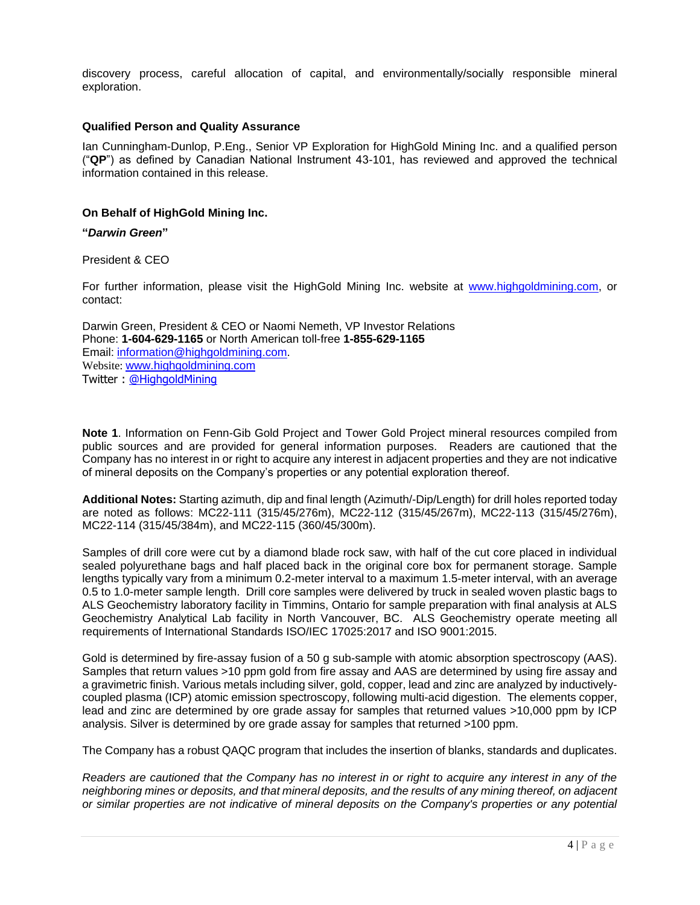discovery process, careful allocation of capital, and environmentally/socially responsible mineral exploration.

#### **Qualified Person and Quality Assurance**

Ian Cunningham-Dunlop, P.Eng., Senior VP Exploration for HighGold Mining Inc. and a qualified person ("**QP**") as defined by Canadian National Instrument 43-101, has reviewed and approved the technical information contained in this release.

## **On Behalf of HighGold Mining Inc.**

#### **"***Darwin Green***"**

#### President & CEO

For further information, please visit the HighGold Mining Inc. website at [www.highgoldmining.com,](http://www.highgoldmining.com/) or contact:

Darwin Green, President & CEO or Naomi Nemeth, VP Investor Relations Phone: **1-604-629-1165** or North American toll-free **1-855-629-1165** Email: [information@highgoldmining.com.](mailto:information@highgoldmining.com) Website: [www.highgoldmining.com](http://www.highgoldmining.com/) Twitter : [@HighgoldMining](https://twitter.com/highgoldmining?lang=en)

**Note 1**. Information on Fenn-Gib Gold Project and Tower Gold Project mineral resources compiled from public sources and are provided for general information purposes. Readers are cautioned that the Company has no interest in or right to acquire any interest in adjacent properties and they are not indicative of mineral deposits on the Company's properties or any potential exploration thereof.

**Additional Notes:** Starting azimuth, dip and final length (Azimuth/-Dip/Length) for drill holes reported today are noted as follows: MC22-111 (315/45/276m), MC22-112 (315/45/267m), MC22-113 (315/45/276m), MC22-114 (315/45/384m), and MC22-115 (360/45/300m).

Samples of drill core were cut by a diamond blade rock saw, with half of the cut core placed in individual sealed polyurethane bags and half placed back in the original core box for permanent storage. Sample lengths typically vary from a minimum 0.2-meter interval to a maximum 1.5-meter interval, with an average 0.5 to 1.0-meter sample length. Drill core samples were delivered by truck in sealed woven plastic bags to ALS Geochemistry laboratory facility in Timmins, Ontario for sample preparation with final analysis at ALS Geochemistry Analytical Lab facility in North Vancouver, BC. ALS Geochemistry operate meeting all requirements of International Standards ISO/IEC 17025:2017 and ISO 9001:2015.

Gold is determined by fire-assay fusion of a 50 g sub-sample with atomic absorption spectroscopy (AAS). Samples that return values >10 ppm gold from fire assay and AAS are determined by using fire assay and a gravimetric finish. Various metals including silver, gold, copper, lead and zinc are analyzed by inductivelycoupled plasma (ICP) atomic emission spectroscopy, following multi-acid digestion. The elements copper, lead and zinc are determined by ore grade assay for samples that returned values >10,000 ppm by ICP analysis. Silver is determined by ore grade assay for samples that returned >100 ppm.

The Company has a robust QAQC program that includes the insertion of blanks, standards and duplicates.

*Readers are cautioned that the Company has no interest in or right to acquire any interest in any of the neighboring mines or deposits, and that mineral deposits, and the results of any mining thereof, on adjacent or similar properties are not indicative of mineral deposits on the Company's properties or any potential*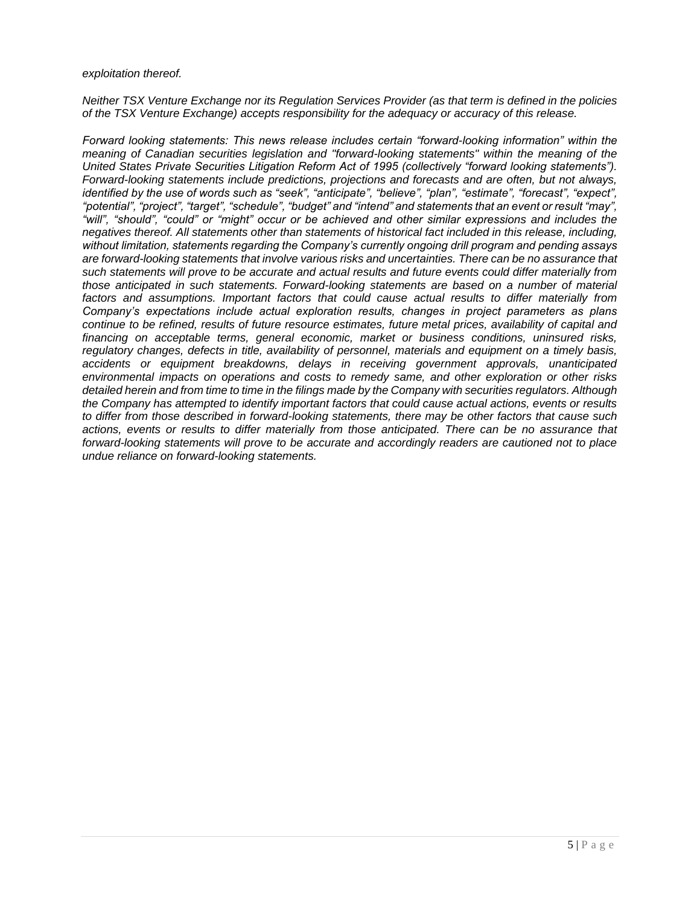#### *exploitation thereof.*

*Neither TSX Venture Exchange nor its Regulation Services Provider (as that term is defined in the policies of the TSX Venture Exchange) accepts responsibility for the adequacy or accuracy of this release.*

*Forward looking statements: This news release includes certain "forward-looking information" within the meaning of Canadian securities legislation and "forward-looking statements" within the meaning of the United States Private Securities Litigation Reform Act of 1995 (collectively "forward looking statements"). Forward-looking statements include predictions, projections and forecasts and are often, but not always, identified by the use of words such as "seek", "anticipate", "believe", "plan", "estimate", "forecast", "expect", "potential", "project", "target", "schedule", "budget" and "intend" and statements that an event or result "may", "will", "should", "could" or "might" occur or be achieved and other similar expressions and includes the negatives thereof. All statements other than statements of historical fact included in this release, including, without limitation, statements regarding the Company's currently ongoing drill program and pending assays are forward-looking statements that involve various risks and uncertainties. There can be no assurance that such statements will prove to be accurate and actual results and future events could differ materially from those anticipated in such statements. Forward-looking statements are based on a number of material factors and assumptions. Important factors that could cause actual results to differ materially from Company's expectations include actual exploration results, changes in project parameters as plans continue to be refined, results of future resource estimates, future metal prices, availability of capital and financing on acceptable terms, general economic, market or business conditions, uninsured risks, regulatory changes, defects in title, availability of personnel, materials and equipment on a timely basis, accidents or equipment breakdowns, delays in receiving government approvals, unanticipated environmental impacts on operations and costs to remedy same, and other exploration or other risks detailed herein and from time to time in the filings made by the Company with securities regulators. Although the Company has attempted to identify important factors that could cause actual actions, events or results to differ from those described in forward-looking statements, there may be other factors that cause such actions, events or results to differ materially from those anticipated. There can be no assurance that forward-looking statements will prove to be accurate and accordingly readers are cautioned not to place undue reliance on forward-looking statements.*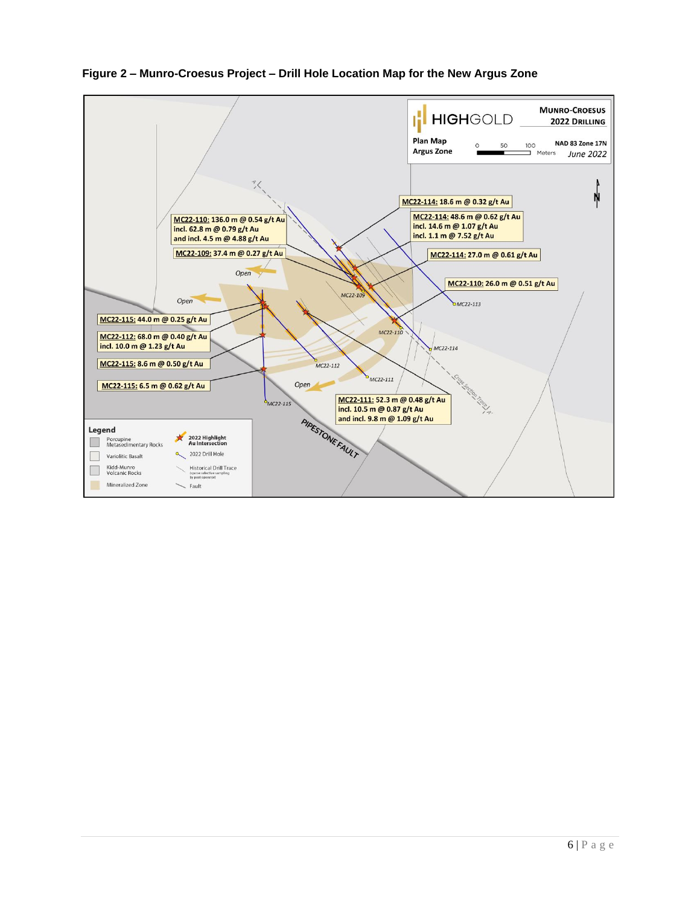

**Figure 2 – Munro-Croesus Project – Drill Hole Location Map for the New Argus Zone**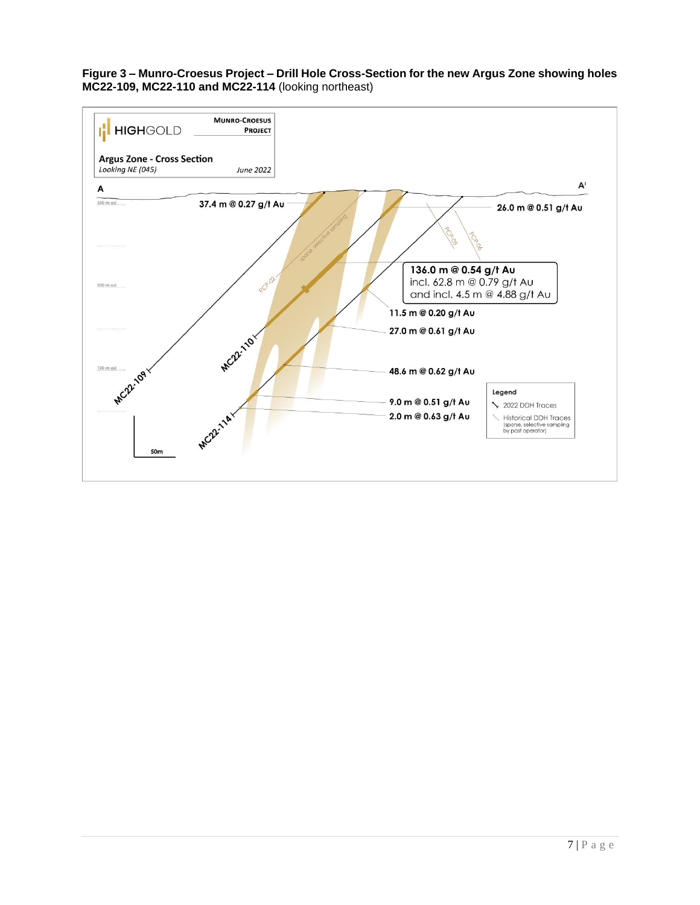#### **Figure 3 – Munro-Croesus Project – Drill Hole Cross-Section for the new Argus Zone showing holes MC22-109, MC22-110 and MC22-114** (looking northeast)

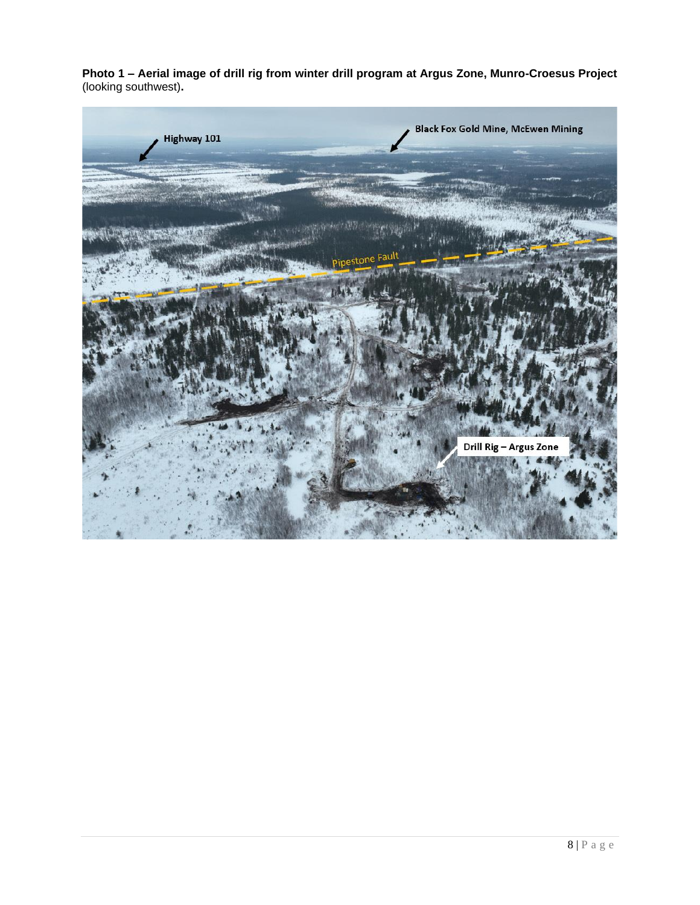**Photo 1 – Aerial image of drill rig from winter drill program at Argus Zone, Munro-Croesus Project** (looking southwest)**.**

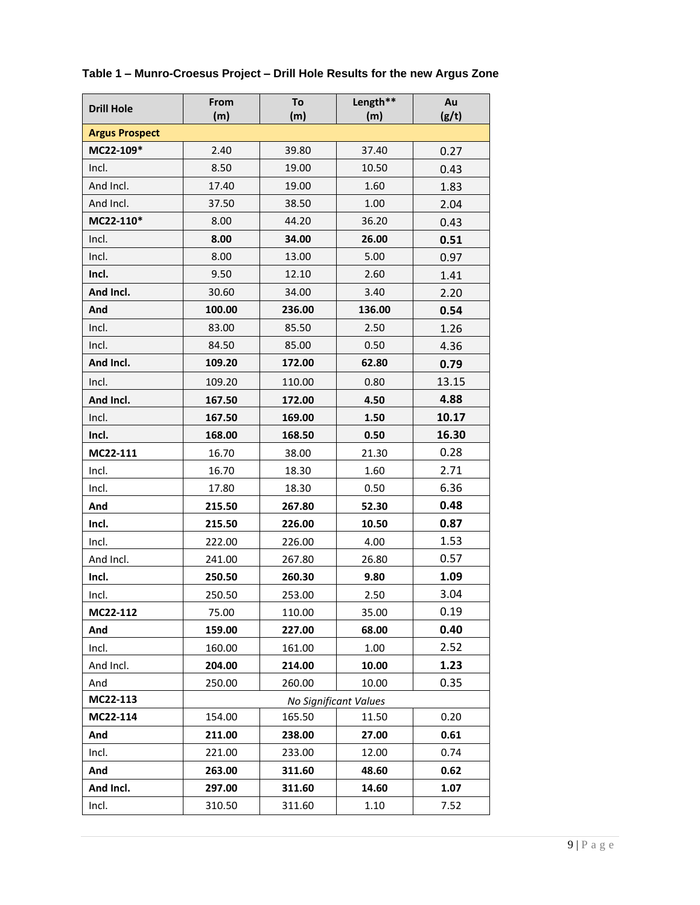| <b>Drill Hole</b>     | From<br>(m)           | To<br>(m) | Length**<br>(m) | Au<br>(g/t) |  |  |  |
|-----------------------|-----------------------|-----------|-----------------|-------------|--|--|--|
| <b>Argus Prospect</b> |                       |           |                 |             |  |  |  |
| MC22-109*             | 2.40                  | 39.80     | 37.40           | 0.27        |  |  |  |
| Incl.                 | 8.50                  | 19.00     | 10.50           | 0.43        |  |  |  |
| And Incl.             | 17.40                 | 19.00     | 1.60            | 1.83        |  |  |  |
| And Incl.             | 37.50                 | 38.50     | 1.00            | 2.04        |  |  |  |
| MC22-110*             | 8.00                  | 44.20     | 36.20           | 0.43        |  |  |  |
| Incl.                 | 8.00                  | 34.00     | 26.00           | 0.51        |  |  |  |
| Incl.                 | 8.00                  | 13.00     | 5.00            | 0.97        |  |  |  |
| Incl.                 | 9.50                  | 12.10     | 2.60            | 1.41        |  |  |  |
| And Incl.             | 30.60                 | 34.00     | 3.40            | 2.20        |  |  |  |
| And                   | 100.00                | 236.00    | 136.00          | 0.54        |  |  |  |
| Incl.                 | 83.00                 | 85.50     | 2.50            | 1.26        |  |  |  |
| Incl.                 | 84.50                 | 85.00     | 0.50            | 4.36        |  |  |  |
| And Incl.             | 109.20                | 172.00    | 62.80           | 0.79        |  |  |  |
| Incl.                 | 109.20                | 110.00    | 0.80            | 13.15       |  |  |  |
| And Incl.             | 167.50                | 172.00    | 4.50            | 4.88        |  |  |  |
| Incl.                 | 167.50                | 169.00    | 1.50            | 10.17       |  |  |  |
| Incl.                 | 168.00                | 168.50    | 0.50            | 16.30       |  |  |  |
| MC22-111              | 16.70                 | 38.00     | 21.30           | 0.28        |  |  |  |
| Incl.                 | 16.70                 | 18.30     | 1.60            | 2.71        |  |  |  |
| Incl.                 | 17.80                 | 18.30     | 0.50            | 6.36        |  |  |  |
| And                   | 215.50                | 267.80    | 52.30           | 0.48        |  |  |  |
| Incl.                 | 215.50                | 226.00    | 10.50           | 0.87        |  |  |  |
| Incl.                 | 222.00                | 226.00    | 4.00            | 1.53        |  |  |  |
| And Incl.             | 241.00                | 267.80    | 26.80           | 0.57        |  |  |  |
| Incl.                 | 250.50                | 260.30    | 9.80            | 1.09        |  |  |  |
| Incl.                 | 250.50                | 253.00    | 2.50            | 3.04        |  |  |  |
| MC22-112              | 75.00                 | 110.00    | 35.00           | 0.19        |  |  |  |
| And                   | 159.00                | 227.00    | 68.00           | 0.40        |  |  |  |
| Incl.                 | 160.00                | 161.00    | 1.00            | 2.52        |  |  |  |
| And Incl.             | 204.00                | 214.00    | 10.00           | 1.23        |  |  |  |
| And                   | 250.00                | 260.00    | 10.00           | 0.35        |  |  |  |
| MC22-113              | No Significant Values |           |                 |             |  |  |  |
| MC22-114              | 154.00                | 165.50    | 11.50           | 0.20        |  |  |  |
| And                   | 211.00                | 238.00    | 27.00           | 0.61        |  |  |  |
| Incl.                 | 221.00                | 233.00    | 12.00           | 0.74        |  |  |  |
| And                   | 263.00                | 311.60    | 48.60           | 0.62        |  |  |  |
| And Incl.             | 297.00                | 311.60    | 14.60           | 1.07        |  |  |  |
| Incl.                 | 310.50                | 311.60    | 1.10            | 7.52        |  |  |  |

## **Table 1 – Munro-Croesus Project – Drill Hole Results for the new Argus Zone**